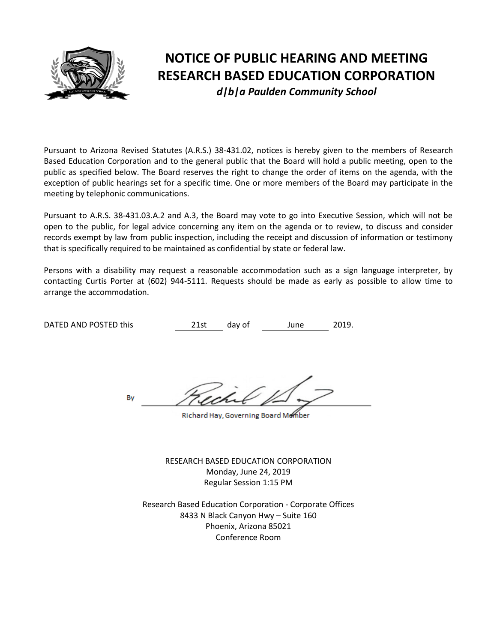

# **NOTICE OF PUBLIC HEARING AND MEETING RESEARCH BASED EDUCATION CORPORATION** *d|b|a Paulden Community School*

Pursuant to Arizona Revised Statutes (A.R.S.) 38-431.02, notices is hereby given to the members of Research Based Education Corporation and to the general public that the Board will hold a public meeting, open to the public as specified below. The Board reserves the right to change the order of items on the agenda, with the exception of public hearings set for a specific time. One or more members of the Board may participate in the meeting by telephonic communications.

Pursuant to A.R.S. 38-431.03.A.2 and A.3, the Board may vote to go into Executive Session, which will not be open to the public, for legal advice concerning any item on the agenda or to review, to discuss and consider records exempt by law from public inspection, including the receipt and discussion of information or testimony that is specifically required to be maintained as confidential by state or federal law.

Persons with a disability may request a reasonable accommodation such as a sign language interpreter, by contacting Curtis Porter at (602) 944-5111. Requests should be made as early as possible to allow time to arrange the accommodation.

DATED AND POSTED this **21st** day of June 2019.

By

Richard Hay, Governing Board Member

RESEARCH BASED EDUCATION CORPORATION Monday, June 24, 2019 Regular Session 1:15 PM

Research Based Education Corporation - Corporate Offices 8433 N Black Canyon Hwy – Suite 160 Phoenix, Arizona 85021 Conference Room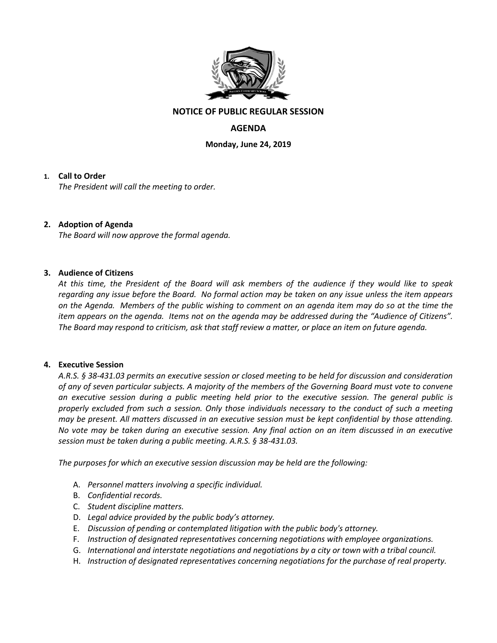

# **NOTICE OF PUBLIC REGULAR SESSION**

# **AGENDA**

**Monday, June 24, 2019**

## **1. Call to Order**

*The President will call the meeting to order.*

## **2. Adoption of Agenda**

*The Board will now approve the formal agenda.*

#### **3. Audience of Citizens**

*At this time, the President of the Board will ask members of the audience if they would like to speak regarding any issue before the Board. No formal action may be taken on any issue unless the item appears on the Agenda. Members of the public wishing to comment on an agenda item may do so at the time the item appears on the agenda. Items not on the agenda may be addressed during the "Audience of Citizens". The Board may respond to criticism, ask that staff review a matter, or place an item on future agenda.*

#### **4. Executive Session**

*A.R.S. § 38-431.03 permits an executive session or closed meeting to be held for discussion and consideration of any of seven particular subjects. A majority of the members of the Governing Board must vote to convene an executive session during a public meeting held prior to the executive session. The general public is properly excluded from such a session. Only those individuals necessary to the conduct of such a meeting may be present. All matters discussed in an executive session must be kept confidential by those attending. No vote may be taken during an executive session. Any final action on an item discussed in an executive session must be taken during a public meeting. A.R.S. § 38-431.03.* 

*The purposes for which an executive session discussion may be held are the following:* 

- A. *Personnel matters involving a specific individual.*
- B. *Confidential records.*
- C. *Student discipline matters.*
- D. *Legal advice provided by the public body's attorney.*
- E. *Discussion of pending or contemplated litigation with the public body's attorney.*
- F. *Instruction of designated representatives concerning negotiations with employee organizations.*
- G. *International and interstate negotiations and negotiations by a city or town with a tribal council.*
- H. *Instruction of designated representatives concerning negotiations for the purchase of real property.*